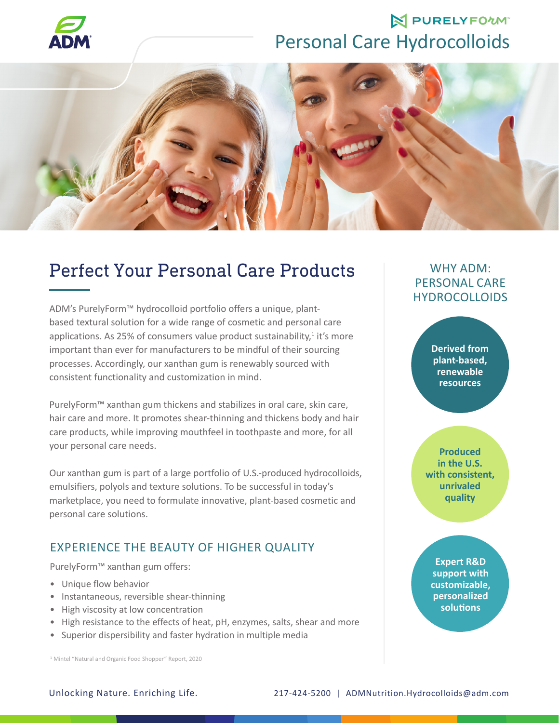

## **N PURELYFOWN** Personal Care Hydrocolloids



## Perfect Your Personal Care Products

ADM's PurelyForm™ hydrocolloid portfolio offers a unique, plantbased textural solution for a wide range of cosmetic and personal care applications. As 25% of consumers value product sustainability, $1$  it's more important than ever for manufacturers to be mindful of their sourcing processes. Accordingly, our xanthan gum is renewably sourced with consistent functionality and customization in mind.

PurelyForm™ xanthan gum thickens and stabilizes in oral care, skin care, hair care and more. It promotes shear-thinning and thickens body and hair care products, while improving mouthfeel in toothpaste and more, for all your personal care needs.

Our xanthan gum is part of a large portfolio of U.S.-produced hydrocolloids, emulsifiers, polyols and texture solutions. To be successful in today's marketplace, you need to formulate innovative, plant-based cosmetic and personal care solutions.

#### EXPERIENCE THE BEAUTY OF HIGHER QUALITY

PurelyForm™ xanthan gum offers:

- Unique flow behavior
- Instantaneous, reversible shear-thinning
- High viscosity at low concentration
- High resistance to the effects of heat, pH, enzymes, salts, shear and more
- Superior dispersibility and faster hydration in multiple media

<sup>1</sup> Mintel "Natural and Organic Food Shopper" Report, 2020

WHY ADM: PERSONAL CARE **HYDROCOLLOIDS** 

> **Derived from plant-based, renewable resources**

**Produced in the U.S. with consistent, unrivaled quality**

**Expert R&D support with customizable, personalized solutions**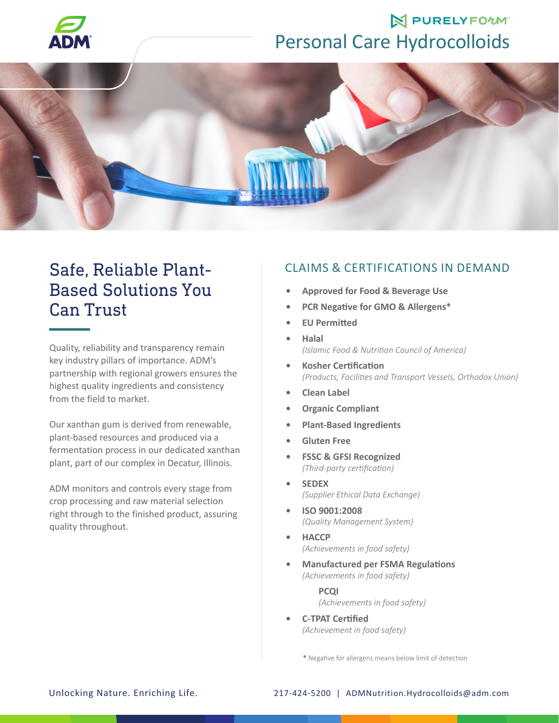

## **N PURELYFOWN** Personal Care Hydrocolloids



## Safe, Reliable Plant-Based Solutions You Can Trust

Quality, reliability and transparency remain key industry pillars of importance. ADM's partnership with regional growers ensures the highest quality ingredients and consistency from the field to market.

Our xanthan gum is derived from renewable, plant-based resources and produced via a fermentation process in our dedicated xanthan plant, part of our complex in Decatur, Illinois.

ADM monitors and controls every stage from crop processing and raw material selection right through to the finished product, assuring quality throughout.

### CLAIMS & CERTIFICATIONS IN DEMAND

- **• Approved for Food & Beverage Use**
- **• PCR Negative for GMO & Allergens\***
- **• EU Permitted**
- **• Halal**  *(Islamic Food & Nutrition Council of America)*
- **• Kosher Certification**  *(Products, Facilities and Transport Vessels, Orthodox Union)*
- **• Clean Label**
- **• Organic Compliant**
- **• Plant-Based Ingredients**
- **• Gluten Free**
- **• FSSC & GFSI Recognized**  *(Third-party certification)*
- **• SEDEX**  *(Supplier Ethical Data Exchange)*
- **• ISO 9001:2008**  *(Quality Management System)*
- **• HACCP**  *(Achievements in food safety)*
- **• Manufactured per FSMA Regulations**  *(Achievements in food safety)*

**PCQI**  *(Achievements in food safety)* 

**• C-TPAT Certified**  *(Achievement in food safety)*

**\*** Negative for allergens means below limit of detection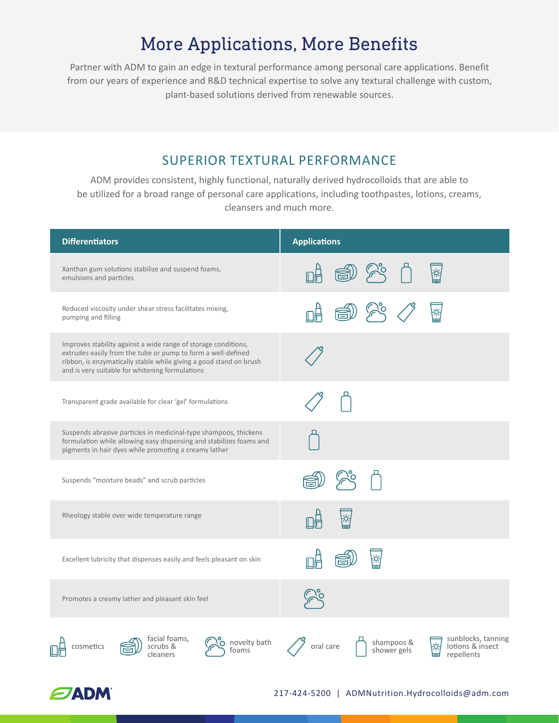# More Applications, More Benefits

Partner with ADM to gain an edge in textural performance among personal care applications. Benefit from our years of experience and R&D technical expertise to solve any textural challenge with custom, plant-based solutions derived from renewable sources.

### SUPERIOR TEXTURAL PERFORMANCE

ADM provides consistent, highly functional, naturally derived hydrocolloids that are able to be utilized for a broad range of personal care applications, including toothpastes, lotions, creams, cleansers and much more.

| <b>Differentiators</b>                                                                                                                                                                                                                                  | <b>Applications</b>                                                                            |
|---------------------------------------------------------------------------------------------------------------------------------------------------------------------------------------------------------------------------------------------------------|------------------------------------------------------------------------------------------------|
| Xanthan gum solutions stabilize and suspend foams,<br>emulsions and particles                                                                                                                                                                           | ∖ଝ                                                                                             |
| Reduced viscosity under shear stress facilitates mixing,<br>pumping and filling                                                                                                                                                                         | ∤ధ,                                                                                            |
| Improves stability against a wide range of storage conditions,<br>extrudes easily from the tube or pump to form a well-defined<br>ribbon, is enzymatically stable while giving a good stand on brush<br>and is very suitable for whitening formulations |                                                                                                |
| Transparent grade available for clear 'gel' formulations                                                                                                                                                                                                |                                                                                                |
| Suspends abrasive particles in medicinal-type shampoos, thickens<br>formulation while allowing easy dispensing and stabilizes foams and<br>pigments in hair dyes while promoting a creamy lather                                                        |                                                                                                |
| Suspends "moisture beads" and scrub particles                                                                                                                                                                                                           |                                                                                                |
| Rheology stable over wide temperature range                                                                                                                                                                                                             | ¦¢,                                                                                            |
| Excellent lubricity that dispenses easily and feels pleasant on skin                                                                                                                                                                                    |                                                                                                |
| Promotes a creamy lather and pleasant skin feel                                                                                                                                                                                                         |                                                                                                |
| facial foams,<br>novelty bath<br>scrubs &<br>cosmetics<br>foams<br>cleaners                                                                                                                                                                             | sunblocks, tanning<br>shampoos &<br>lotions & insect<br>oral care<br>shower gels<br>repellents |